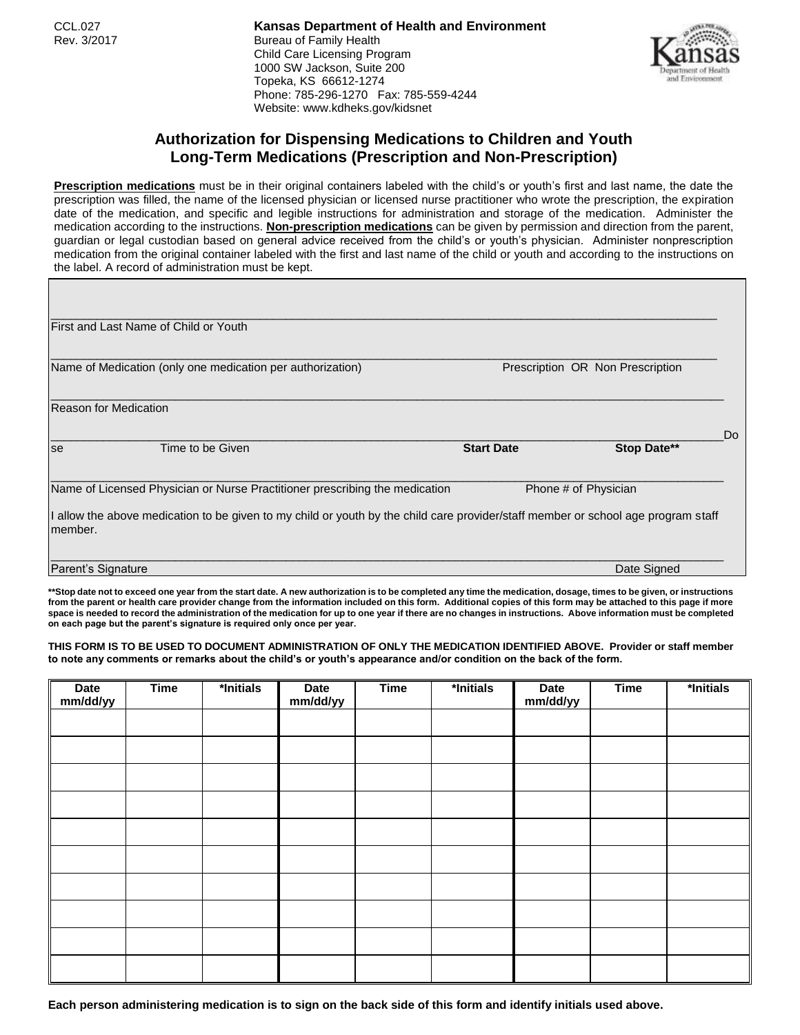CCL.027 **Kansas Department of Health and Environment** Rev. 3/2017 **Bureau of Family Health** Child Care Licensing Program 1000 SW Jackson, Suite 200 Topeka, KS 66612-1274 Phone: 785-296-1270 Fax: 785-559-4244 Website: www.kdheks.gov/kidsnet



## **Authorization for Dispensing Medications to Children and Youth Long-Term Medications (Prescription and Non-Prescription)**

**Prescription medications** must be in their original containers labeled with the child's or youth's first and last name, the date the prescription was filled, the name of the licensed physician or licensed nurse practitioner who wrote the prescription, the expiration date of the medication, and specific and legible instructions for administration and storage of the medication. Administer the medication according to the instructions. **Non-prescription medications** can be given by permission and direction from the parent, guardian or legal custodian based on general advice received from the child's or youth's physician. Administer nonprescription medication from the original container labeled with the first and last name of the child or youth and according to the instructions on the label. A record of administration must be kept.

|                    | First and Last Name of Child or Youth                                                                                             |                   |                                  |  |  |
|--------------------|-----------------------------------------------------------------------------------------------------------------------------------|-------------------|----------------------------------|--|--|
|                    | Name of Medication (only one medication per authorization)                                                                        |                   | Prescription OR Non Prescription |  |  |
|                    | <b>Reason for Medication</b>                                                                                                      |                   |                                  |  |  |
| se                 | Time to be Given                                                                                                                  | <b>Start Date</b> | Do<br>Stop Date**                |  |  |
|                    | Name of Licensed Physician or Nurse Practitioner prescribing the medication                                                       |                   | Phone # of Physician             |  |  |
| member.            | I allow the above medication to be given to my child or youth by the child care provider/staff member or school age program staff |                   |                                  |  |  |
| Parent's Signature |                                                                                                                                   |                   | Date Signed                      |  |  |

**\*\*Stop date not to exceed one year from the start date. A new authorization is to be completed any time the medication, dosage, times to be given, or instructions from the parent or health care provider change from the information included on this form. Additional copies of this form may be attached to this page if more space is needed to record the administration of the medication for up to one year if there are no changes in instructions. Above information must be completed on each page but the parent's signature is required only once per year.**

**THIS FORM IS TO BE USED TO DOCUMENT ADMINISTRATION OF ONLY THE MEDICATION IDENTIFIED ABOVE. Provider or staff member to note any comments or remarks about the child's or youth's appearance and/or condition on the back of the form.**

| Date<br>mm/dd/yy | <b>Time</b> | *Initials | <b>Date</b><br>mm/dd/yy | <b>Time</b> | *Initials | <b>Date</b><br>mm/dd/yy | <b>Time</b> | *Initials |
|------------------|-------------|-----------|-------------------------|-------------|-----------|-------------------------|-------------|-----------|
|                  |             |           |                         |             |           |                         |             |           |
|                  |             |           |                         |             |           |                         |             |           |
|                  |             |           |                         |             |           |                         |             |           |
|                  |             |           |                         |             |           |                         |             |           |
|                  |             |           |                         |             |           |                         |             |           |
|                  |             |           |                         |             |           |                         |             |           |
|                  |             |           |                         |             |           |                         |             |           |
|                  |             |           |                         |             |           |                         |             |           |
|                  |             |           |                         |             |           |                         |             |           |
|                  |             |           |                         |             |           |                         |             |           |

**Each person administering medication is to sign on the back side of this form and identify initials used above.**